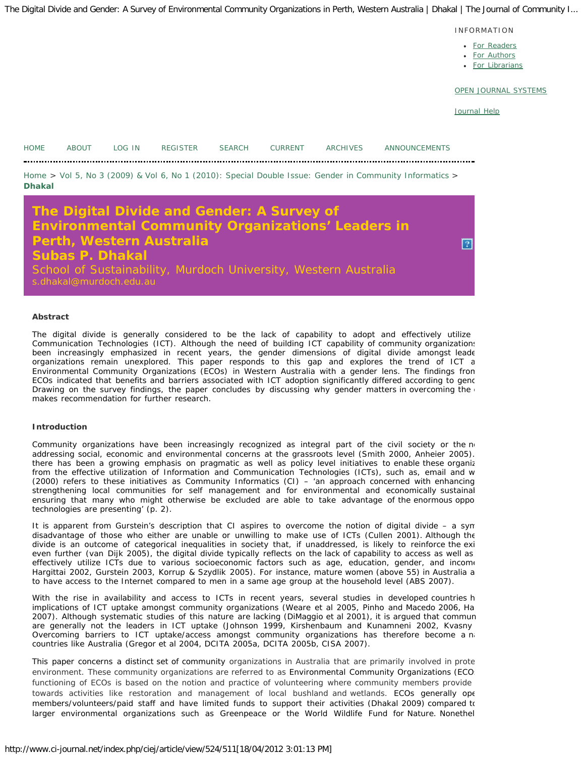INFORMATION

- [For Readers](http://www.ci-journal.net/index.php/ciej/information/readers)
- [For Authors](http://www.ci-journal.net/index.php/ciej/information/authors)
- [For Librarians](http://www.ci-journal.net/index.php/ciej/information/librarians)

[OPEN JOURNAL SYSTEMS](http://pkp.sfu.ca/ojs/)

[Journal Help](javascript:openHelp()

<span id="page-0-0"></span>

| <b>HOME</b>   | ABOUT LOG IN                                      | REGISTER                 | SEARCH |                                            | CURRENT ARCHIVES                                                                                                            | ANNOUNCEMENTS                                                                                           |  |
|---------------|---------------------------------------------------|--------------------------|--------|--------------------------------------------|-----------------------------------------------------------------------------------------------------------------------------|---------------------------------------------------------------------------------------------------------|--|
| <b>Dhakal</b> |                                                   |                          |        |                                            |                                                                                                                             | Home > Vol 5, No 3 (2009) & Vol 6, No 1 (2010): Special Double Issue: Gender in Community Informatics > |  |
|               | <b>Subas P. Dhakal</b><br>s.dhakal@murdoch.edu.au | Perth, Western Australia |        | The Digital Divide and Gender: A Survey of | <b>Environmental Community Organizations' Leaders in</b><br>School of Sustainability, Murdoch University, Western Australia |                                                                                                         |  |

## **Abstract**

The digital divide is generally considered to be the lack of capability to adopt and effectively utilize Communication Technologies (ICT). Although the need of building ICT capability of community organizations been increasingly emphasized in recent years, the gender dimensions of digital divide amongst leade organizations remain unexplored. This paper responds to this gap and explores the trend of ICT a Environmental Community Organizations (ECOs) in Western Australia with a gender lens. The findings from ECOs indicated that benefits and barriers associated with ICT adoption significantly differed according to gend Drawing on the survey findings, the paper concludes by discussing why gender matters in overcoming the  $\epsilon$ makes recommendation for further research.

### **Introduction**

Community organizations have been increasingly recognized as integral part of the civil society or the no addressing social, economic and environmental concerns at the grassroots level (Smith 2000, Anheier 2005). there has been a growing emphasis on pragmatic as well as policy level initiatives to enable these organiz from the effective utilization of Information and Communication Technologies (ICTs), such as, email and w (2000) refers to these initiatives as Community Informatics (CI) – 'an approach concerned with enhancing strengthening local communities for self management and for environmental and economically sustainal ensuring that many who might otherwise be excluded are able to take advantage of the enormous oppo technologies are presenting' (p. 2).

It is apparent from Gurstein's description that CI aspires to overcome the notion of digital divide – a sym disadvantage of those who either are unable or unwilling to make use of ICTs (Cullen 2001). Although the divide is an outcome of categorical inequalities in society that, if unaddressed, is likely to reinforce the exi even further (van Dijk 2005), the digital divide typically reflects on the lack of capability to access as well as effectively utilize ICTs due to various socioeconomic factors such as age, education, gender, and income Hargittai 2002, Gurstein 2003, Korrup & Szydlik 2005). For instance, mature women (above 55) in Australia a to have access to the Internet compared to men in a same age group at the household level (ABS 2007).

With the rise in availability and access to ICTs in recent years, several studies in developed countries h implications of ICT uptake amongst community organizations (Weare et al 2005, Pinho and Macedo 2006, Ha 2007). Although systematic studies of this nature are lacking (DiMaggio et al 2001), it is argued that commun are generally not the leaders in ICT uptake (Johnson 1999, Kirshenbaum and Kunamneni 2002, Kvasny Overcoming barriers to ICT uptake/access amongst community organizations has therefore become a na countries like Australia (Gregor et al 2004, DCITA 2005a, DCITA 2005b, CISA 2007).

This paper concerns a distinct set of community organizations in Australia that are primarily involved in prote environment. These community organizations are referred to as Environmental Community Organizations (ECO: functioning of ECOs is based on the notion and practice of volunteering where community members provide towards activities like restoration and management of local bushland and wetlands. ECOs generally ope members/volunteers/paid staff and have limited funds to support their activities (Dhakal 2009) compared to larger environmental organizations such as Greenpeace or the World Wildlife Fund for Nature. Nonethel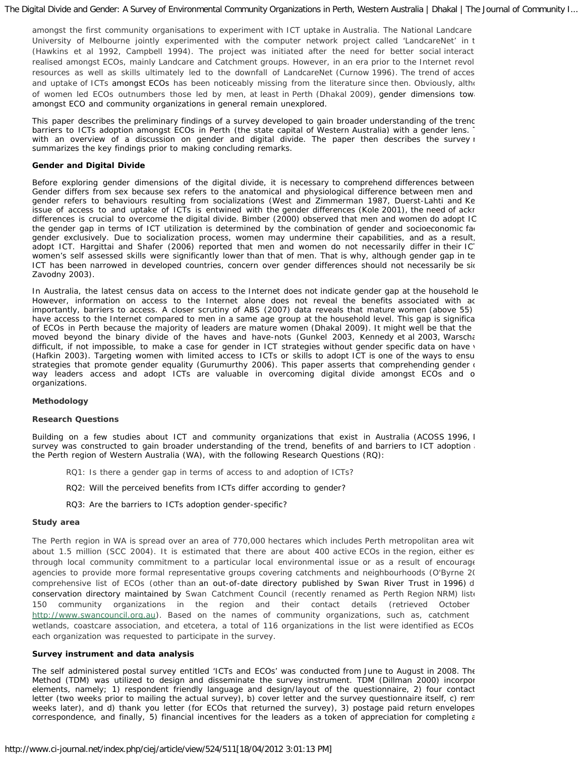amongst the first community organisations to experiment with ICT uptake in Australia. The National Landcare University of Melbourne jointly experimented with the computer network project called 'LandcareNet' in t (Hawkins et al 1992, Campbell 1994). The project was initiated after the need for better social interacti realised amongst ECOs, mainly Landcare and Catchment groups. However, in an era prior to the Internet revolu resources as well as skills ultimately led to the downfall of LandcareNet (Curnow 1996). The trend of access and uptake of ICTs amongst ECOs has been noticeably missing from the literature since then. Obviously, altho of women led ECOs outnumbers those led by men, at least in Perth (Dhakal 2009), gender dimensions towa amongst ECO and community organizations in general remain unexplored.

This paper describes the preliminary findings of a survey developed to gain broader understanding of the trend barriers to ICTs adoption amongst ECOs in Perth (the state capital of Western Australia) with a gender lens. with an overview of a discussion on gender and digital divide. The paper then describes the survey  $\iota$ summarizes the key findings prior to making concluding remarks.

## *Gender and Digital Divide*

Before exploring gender dimensions of the digital divide, it is necessary to comprehend differences between Gender differs from sex because sex refers to the anatomical and physiological difference between men and gender refers to behaviours resulting from socializations (West and Zimmerman 1987, Duerst-Lahti and Ke issue of access to and uptake of ICTs is entwined with the gender differences (Kole 2001), the need of ackr differences is crucial to overcome the digital divide. Bimber (2000) observed that men and women do adopt IC the gender gap in terms of ICT utilization is determined by the combination of gender and socioeconomic fac gender exclusively. Due to socialization process, women may undermine their capabilities, and as a result, adopt ICT. Hargittai and Shafer (2006) reported that men and women do not necessarily differ in their ICT women's self assessed skills were significantly lower than that of men. That is why, although gender gap in te ICT has been narrowed in developed countries, concern over gender differences should not necessarily be sidential Zavodny 2003).

In Australia, the latest census data on access to the Internet does not indicate gender gap at the household le However, information on access to the Internet alone does not reveal the benefits associated with ac importantly, barriers to access. A closer scrutiny of ABS (2007) data reveals that mature women (above 55) have access to the Internet compared to men in a same age group at the household level. This gap is significa of ECOs in Perth because the majority of leaders are mature women (Dhakal 2009). It might well be that the moved beyond the binary divide of the haves and have-nots (Gunkel 2003, Kennedy et al 2003, Warscha difficult, if not impossible, to make a case for gender in ICT strategies without gender specific data on have v (Hafkin 2003). Targeting women with limited access to ICTs or skills to adopt ICT is one of the ways to ensu strategies that promote gender equality (Gurumurthy 2006). This paper asserts that comprehending gender  $\alpha$ way leaders access and adopt ICTs are valuable in overcoming digital divide amongst ECOs and o organizations.

### **Methodology**

### *Research Questions*

Building on a few studies about ICT and community organizations that exist in Australia (ACOSS 1996, I survey was constructed to gain broader understanding of the trend, benefits of and barriers to ICT adoption and the Perth region of Western Australia (WA), with the following Research Questions (RQ):

- *RQ1: Is there a gender gap in terms of access to and adoption of ICTs?*
- *RQ2: Will the perceived benefits from ICTs differ according to gender?*
- *RQ3: Are the barriers to ICTs adoption gender-specific?*

## *Study area*

The Perth region in WA is spread over an area of 770,000 hectares which includes Perth metropolitan area with about 1.5 million (SCC 2004). It is estimated that there are about 400 active ECOs in the region, either estimated through local community commitment to a particular local environmental issue or as a result of encourage agencies to provide more formal representative groups covering catchments and neighbourhoods (O'Byrne 20 comprehensive list of ECOs (other than an out-of-date directory published by Swan River Trust in 1996) d conservation directory maintained by Swan Catchment Council (recently renamed as Perth Region NRM) liste 150 community organizations in the region and their contact details (retrieved October [http://www.swancouncil.org.au](http://www.swancouncil.org.au/)). Based on the names of community organizations, such as, catchment wetlands, coastcare association, and etcetera, a total of 116 organizations in the list were identified as ECOs. each organization was requested to participate in the survey.

### *Survey instrument and data analysis*

The self administered postal survey entitled 'ICTs and ECOs' was conducted from June to August in 2008. The Method (TDM) was utilized to design and disseminate the survey instrument. TDM (Dillman 2000) incorpor elements, namely; 1) respondent friendly language and design/layout of the questionnaire, 2) four contact letter (two weeks prior to mailing the actual survey), b) cover letter and the survey questionnaire itself, c) rem weeks later), and d) thank you letter (for ECOs that returned the survey), 3) postage paid return envelopes correspondence, and finally, 5) financial incentives for the leaders as a token of appreciation for completing a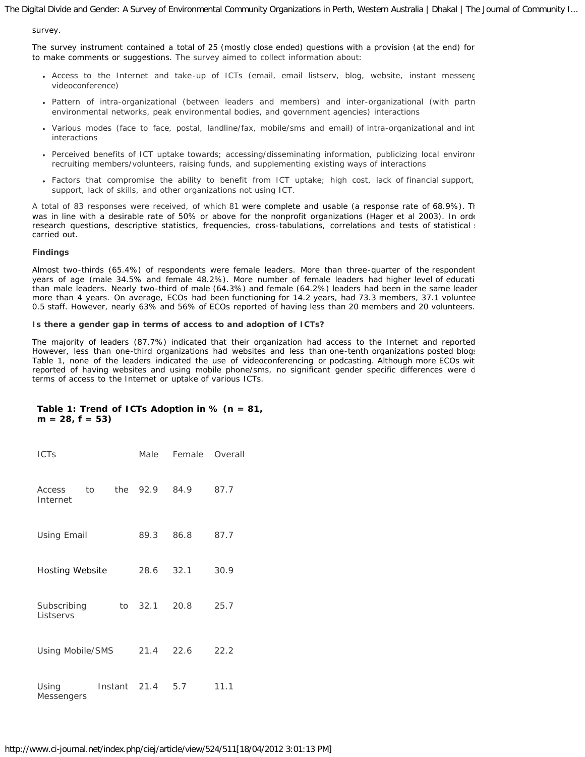survey.

The survey instrument contained a total of 25 (mostly close ended) questions with a provision (at the end) for to make comments or suggestions. The survey aimed to collect information about:

- Access to the Internet and take-up of ICTs (email, email listserv, blog, website, instant messeng videoconference)
- Pattern of intra-organizational (between leaders and members) and inter-organizational (with partn environmental networks, peak environmental bodies, and government agencies) interactions
- Various modes (face to face, postal, landline/fax, mobile/sms and email) of intra-organizational and int interactions
- Perceived benefits of ICT uptake towards; accessing/disseminating information, publicizing local environr recruiting members/volunteers, raising funds, and supplementing existing ways of interactions
- Factors that compromise the ability to benefit from ICT uptake; high cost, lack of financial support, support, lack of skills, and other organizations not using ICT.

A total of 83 responses were received, of which 81 were complete and usable (a response rate of 68.9%). Th was in line with a desirable rate of 50% or above for the nonprofit organizations (Hager et al 2003). In orde research questions, descriptive statistics, frequencies, cross-tabulations, correlations and tests of statistical : carried out.

## **Findings**

Almost two-thirds (65.4%) of respondents were female leaders. More than three-quarter of the respondent years of age (male 34.5% and female 48.2%). More number of female leaders had higher level of educati than male leaders. Nearly two-third of male (64.3%) and female (64.2%) leaders had been in the same leader more than 4 years. On average, ECOs had been functioning for 14.2 years, had 73.3 members, 37.1 voluntee 0.5 staff. However, nearly 63% and 56% of ECOs reported of having less than 20 members and 20 volunteers.

## *Is there a gender gap in terms of access to and adoption of ICTs?*

The majority of leaders (87.7%) indicated that their organization had access to the Internet and reported However, less than one-third organizations had websites and less than one-tenth organizations posted blogs Table 1, none of the leaders indicated the use of videoconferencing or podcasting. Although more ECOs wit reported of having websites and using mobile phone/sms, no significant gender specific differences were d terms of access to the Internet or uptake of various ICTs.

## **Table 1: Trend of ICTs Adoption in % (n = 81, m = 28, f = 53)**

| <b>ICTs</b>              |    |  |               | Male Female | Overall |
|--------------------------|----|--|---------------|-------------|---------|
| Access<br>Internet       | to |  | the 92.9 84.9 |             | 87.7    |
| Using Email              |    |  | 89.3          | 86.8        | 87.7    |
| <b>Hosting Website</b>   |    |  | 28.6          | 32.1        | 30.9    |
| Subscribing<br>Listservs |    |  | to 32.1 20.8  |             | 25.7    |
| Using Mobile/SMS         |    |  | 21.4 22.6     |             | 22.2    |
| Using<br>Messengers      |    |  | Instant 21.4  | 5.7         | 11.1    |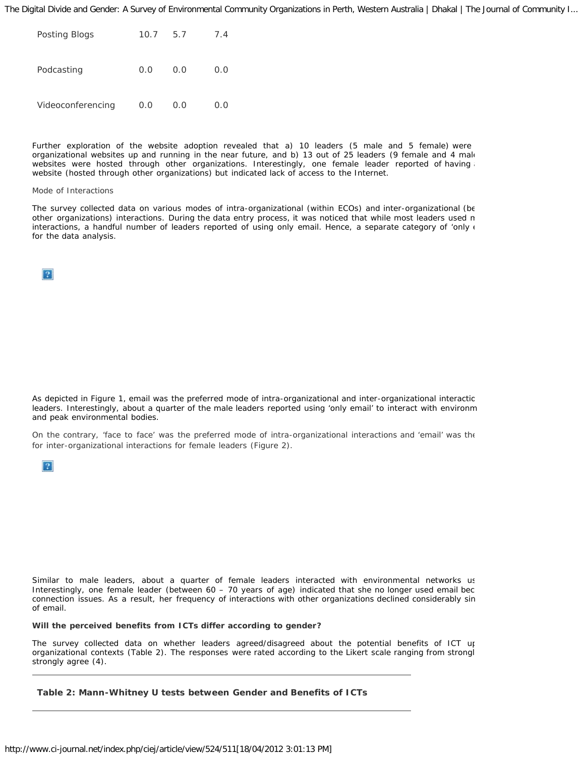| Posting Blogs     | 10.7 | 5.7 | 7.4 |
|-------------------|------|-----|-----|
| Podcasting        | O.O  | 0.0 | 0.0 |
| Videoconferencing | 0.0  | 0.0 | 0.0 |

Further exploration of the website adoption revealed that a) 10 leaders (5 male and 5 female) were organizational websites up and running in the near future, and b) 13 out of 25 leaders (9 female and 4 male websites were hosted through other organizations. Interestingly, one female leader reported of having website (hosted through other organizations) but indicated lack of access to the Internet.

#### *Mode of Interactions*

The survey collected data on various modes of intra-organizational (within ECOs) and inter-organizational (be other organizations) interactions. During the data entry process, it was noticed that while most leaders used m interactions, a handful number of leaders reported of using only email. Hence, a separate category of 'only  $\epsilon$ for the data analysis.

 $\mathbf{P}$ 

As depicted in Figure 1, email was the preferred mode of intra-organizational and inter-organizational interactio leaders. Interestingly, about a quarter of the male leaders reported using 'only email' to interact with environm and peak environmental bodies.

On the contrary, 'face to face' was the preferred mode of intra-organizational interactions and 'email' was the for inter-organizational interactions for female leaders (Figure 2).



Similar to male leaders, about a quarter of female leaders interacted with environmental networks us Interestingly, one female leader (between 60 – 70 years of age) indicated that she no longer used email beca connection issues. As a result, her frequency of interactions with other organizations declined considerably sin of email.

*Will the perceived benefits from ICTs differ according to gender?*

The survey collected data on whether leaders agreed/disagreed about the potential benefits of ICT up organizational contexts (Table 2). The responses were rated according to the Likert scale ranging from strongly strongly agree (4).

**Table 2: Mann-Whitney U tests between Gender and Benefits of ICTs**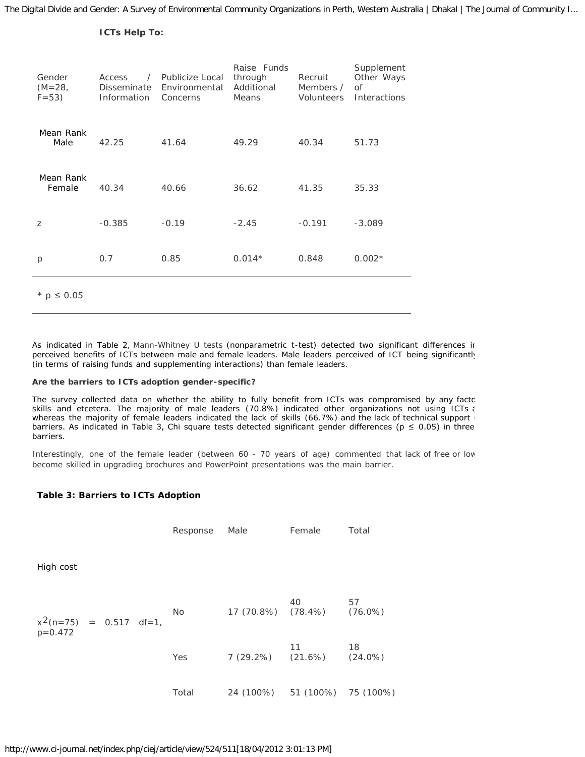## **ICTs Help To:**

| Gender<br>$(M=28,$<br>$F = 53$ ) | Access<br>Disseminate<br>Information Concerns | / Publicize Local<br>Environmental | Raise Funds<br>through<br>Additional<br>Means | Recruit<br><i>Members</i> /<br>Volunteers | Supplement<br>Other Ways<br>Οf<br>Interactions |
|----------------------------------|-----------------------------------------------|------------------------------------|-----------------------------------------------|-------------------------------------------|------------------------------------------------|
| Mean Rank<br>Male                | 42.25                                         | 41.64                              | 49.29                                         | 40.34                                     | 51.73                                          |
| Mean Rank<br>Female              | 40.34                                         | 40.66                              | 36.62                                         | 41.35                                     | 35.33                                          |
| Z                                | $-0.385$                                      | $-0.19$                            | $-2.45$                                       | $-0.191$                                  | $-3.089$                                       |
| $\mathcal{D}$                    | 0.7                                           | 0.85                               | $0.014*$                                      | 0.848                                     | $0.002*$                                       |
| $*$ p ≤ 0.05                     |                                               |                                    |                                               |                                           |                                                |

As indicated in Table 2, Mann-Whitney *U* tests (nonparametric t-test) detected two significant differences ir perceived benefits of ICTs between male and female leaders. Male leaders perceived of ICT being significantly (in terms of raising funds and supplementing interactions) than female leaders.

## *Are the barriers to ICTs adoption gender-specific?*

The survey collected data on whether the ability to fully benefit from ICTs was compromised by any factc skills and etcetera. The majority of male leaders (70.8%) indicated other organizations not using ICTs and whereas the majority of female leaders indicated the lack of skills (66.7%) and the lack of technical support barriers. As indicated in Table 3, Chi square tests detected significant gender differences ( $p \le 0.05$ ) in three barriers.

Interestingly, one of the female leader (between 60 - 70 years of age) commented that lack of free or low become skilled in upgrading brochures and PowerPoint presentations was the main barrier.

## **Table 3: Barriers to ICTs Adoption**

|                                                  |  | Response | Male                           | Female | Total            |
|--------------------------------------------------|--|----------|--------------------------------|--------|------------------|
| High cost                                        |  |          |                                |        |                  |
| $x^2(n=75) = 0.517 \text{ df}=1,$<br>$p = 0.472$ |  | No       | 17 (70.8%) (78.4%)             | 40     | 57<br>$(76.0\%)$ |
|                                                  |  | Yes      | $7(29.2%)$ $(21.6%)$ $(24.0%)$ | 11     | 18               |
|                                                  |  | Total    | 24 (100%) 51 (100%) 75 (100%)  |        |                  |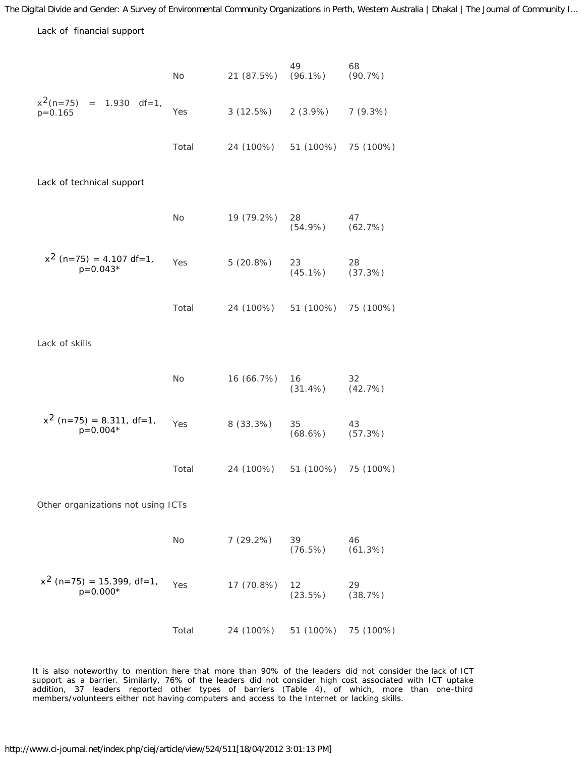*Lack of financial support*

|                                                  | No    | 21 (87.5%) | 49<br>$(96.1\%)$    | 68<br>(90.7%) |  |  |  |
|--------------------------------------------------|-------|------------|---------------------|---------------|--|--|--|
| $x^2(n=75) = 1.930 \text{ df}=1,$<br>$p = 0.165$ | Yes   | 3(12.5%)   | $2(3.9\%)$          | 7(9.3%)       |  |  |  |
|                                                  | Total | 24 (100%)  | 51 (100%) 75 (100%) |               |  |  |  |
| Lack of technical support                        |       |            |                     |               |  |  |  |
|                                                  | No    | 19 (79.2%) | 28<br>$(54.9\%)$    | 47<br>(62.7%) |  |  |  |
| $x^2$ (n=75) = 4.107 df=1,<br>$p=0.043*$         | Yes   | 5(20.8%)   | 23<br>$(45.1\%)$    | 28<br>(37.3%) |  |  |  |
|                                                  | Total | 24 (100%)  | 51 (100%) 75 (100%) |               |  |  |  |
| Lack of skills                                   |       |            |                     |               |  |  |  |
|                                                  | No    | 16 (66.7%) | 16<br>$(31.4\%)$    | 32<br>(42.7%) |  |  |  |
| $x^2$ (n=75) = 8.311, df=1,<br>$p=0.004*$        | Yes   | 8 (33.3%)  | 35<br>$(68.6\%)$    | 43<br>(57.3%) |  |  |  |
|                                                  | Total | 24 (100%)  | 51 (100%) 75 (100%) |               |  |  |  |
| Other organizations not using ICTs               |       |            |                     |               |  |  |  |
|                                                  | No    | 7(29.2%)   | 39<br>(76.5%)       | 46<br>(61.3%) |  |  |  |
| $x^{2}$ (n=75) = 15.399, df=1,<br>$p=0.000*$     | Yes   | 17 (70.8%) | 12<br>(23.5%)       | 29<br>(38.7%) |  |  |  |
|                                                  | Total | 24 (100%)  | 51 (100%)           | 75 (100%)     |  |  |  |

It is also noteworthy to mention here that more than 90% of the leaders did not consider the lack of ICT support as a barrier. Similarly, 76% of the leaders did not consider high cost associated with ICT uptake addition, 37 leaders reported other types of barriers (Table 4), of which, more than one-third members/volunteers either not having computers and access to the Internet or lacking skills.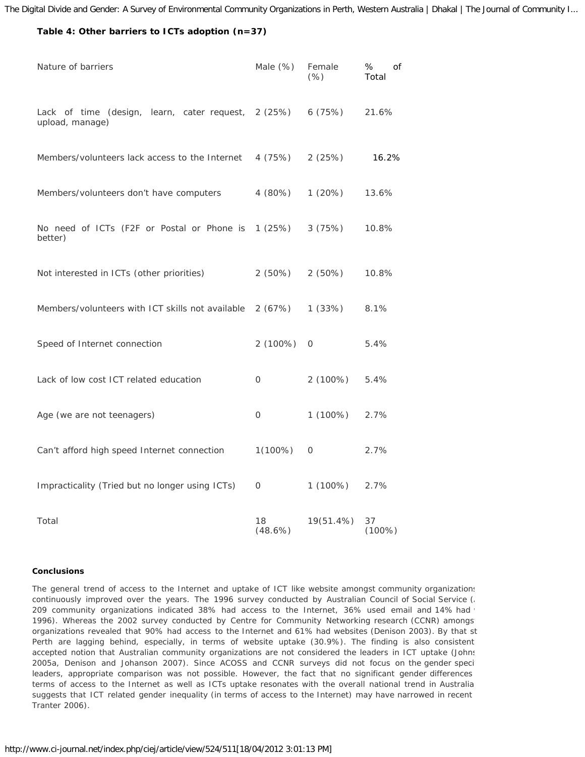## **Table 4: Other barriers to ICTs adoption (n=37)**

| Nature of barriers                                                     | Male $(\%)$   | Female<br>(% ) | %<br>Οf<br>Total |
|------------------------------------------------------------------------|---------------|----------------|------------------|
| Lack of time (design, learn, cater request, 2 (25%)<br>upload, manage) |               | 6(75%)         | 21.6%            |
| Members/volunteers lack access to the Internet                         | 4 (75%)       | 2(25%)         | 16.2%            |
| Members/volunteers don't have computers                                | 4 (80%)       | 1(20%)         | 13.6%            |
| No need of ICTs (F2F or Postal or Phone is<br>better)                  | 1(25%)        | 3(75%)         | 10.8%            |
| Not interested in ICTs (other priorities)                              | 2(50%)        | 2(50%)         | 10.8%            |
| Members/volunteers with ICT skills not available                       | 2(67%)        | 1(33%)         | 8.1%             |
| Speed of Internet connection                                           | 2(100%)       | 0              | 5.4%             |
| Lack of low cost ICT related education                                 | 0             | $2(100\%)$     | 5.4%             |
| Age (we are not teenagers)                                             | 0             | $1(100\%)$     | 2.7%             |
| Can't afford high speed Internet connection                            | $1(100\%)$    | 0              | 2.7%             |
| Impracticality (Tried but no longer using ICTs)                        | 0             | 1 (100%)       | 2.7%             |
| Total                                                                  | 18<br>(48.6%) | $19(51.4\%)$   | 37<br>(100%)     |

## **Conclusions**

The general trend of access to the Internet and uptake of ICT like website amongst community organizations continuously improved over the years. The 1996 survey conducted by Australian Council of Social Service (A 209 community organizations indicated 38% had access to the Internet, 36% used email and 14% had v 1996). Whereas the 2002 survey conducted by Centre for Community Networking research (CCNR) amongst organizations revealed that 90% had access to the Internet and 61% had websites (Denison 2003). By that st Perth are lagging behind, especially, in terms of website uptake (30.9%). The finding is also consistent accepted notion that Australian community organizations are not considered the leaders in ICT uptake (Johns 2005a, Denison and Johanson 2007). Since ACOSS and CCNR surveys did not focus on the gender specif leaders, appropriate comparison was not possible. However, the fact that no significant gender differences terms of access to the Internet as well as ICTs uptake resonates with the overall national trend in Australia suggests that ICT related gender inequality (in terms of access to the Internet) may have narrowed in recent Tranter 2006).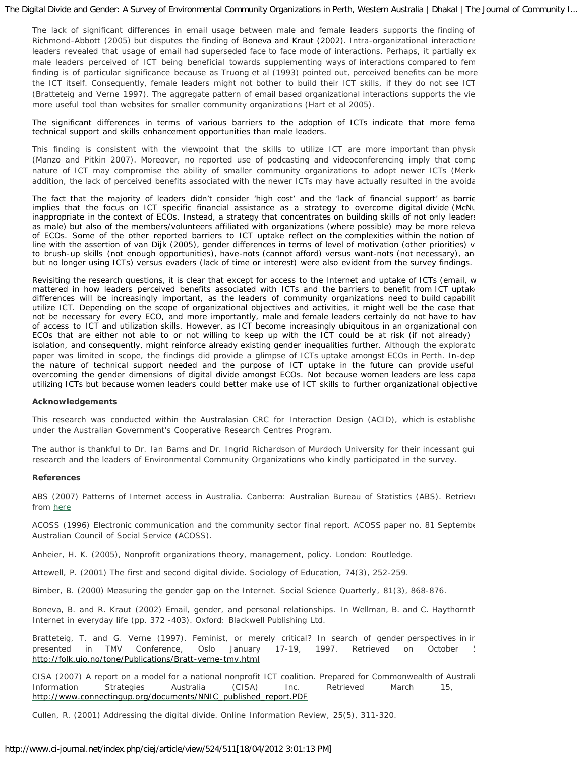The lack of significant differences in email usage between male and female leaders supports the finding of Richmond-Abbott (2005) but disputes the finding of Boneva and Kraut (2002). Intra-organizational interactions leaders revealed that usage of email had superseded face to face mode of interactions. Perhaps, it partially ex male leaders perceived of ICT being beneficial towards supplementing ways of interactions compared to fem finding is of particular significance because as Truong et al (1993) pointed out, perceived benefits can be more the ICT itself. Consequently, female leaders might not bother to build their ICT skills, if they do not see ICT (Bratteteig and Verne 1997). The aggregate pattern of email based organizational interactions supports the vie more useful tool than websites for smaller community organizations (Hart et al 2005).

The significant differences in terms of various barriers to the adoption of ICTs indicate that more fema technical support and skills enhancement opportunities than male leaders.

This finding is consistent with the viewpoint that the skills to utilize ICT are more important than physic (Manzo and Pitkin 2007). Moreover, no reported use of podcasting and videoconferencing imply that comp nature of ICT may compromise the ability of smaller community organizations to adopt newer ICTs (Merke addition, the lack of perceived benefits associated with the newer ICTs may have actually resulted in the avoida

The fact that the majority of leaders didn't consider 'high cost' and the 'lack of financial support' as barrie implies that the focus on ICT specific financial assistance as a strategy to overcome digital divide (McNu inappropriate in the context of ECOs. Instead, a strategy that concentrates on building skills of not only leaders as male) but also of the members/volunteers affiliated with organizations (where possible) may be more releva of ECOs. Some of the other reported barriers to ICT uptake reflect on the complexities within the notion of line with the assertion of van Dijk (2005), gender differences in terms of level of motivation (other priorities) v to brush-up skills (not enough opportunities), have-nots (cannot afford) versus want-nots (not necessary), an but no longer using ICTs) versus evaders (lack of time or interest) were also evident from the survey findings.

Revisiting the research questions, it is clear that except for access to the Internet and uptake of ICTs (email, w mattered in how leaders perceived benefits associated with ICTs and the barriers to benefit from ICT uptake differences will be increasingly important, as the leaders of community organizations need to build capabilit utilize ICT. Depending on the scope of organizational objectives and activities, it might well be the case that not be necessary for every ECO, and more importantly, male and female leaders certainly do not have to hav of access to ICT and utilization skills. However, as ICT become increasingly ubiquitous in an organizational con ECOs that are either not able to or not willing to keep up with the ICT could be at risk (if not already) isolation, and consequently, might reinforce already existing gender inequalities further. Although the explorato paper was limited in scope, the findings did provide a glimpse of ICTs uptake amongst ECOs in Perth. In-dep the nature of technical support needed and the purpose of ICT uptake in the future can provide useful overcoming the gender dimensions of digital divide amongst ECOs. Not because women leaders are less capa utilizing ICTs but because women leaders could better make use of ICT skills to further organizational objective

### **Acknowledgements**

This research was conducted within the Australasian CRC for Interaction Design (ACID), which is establishe under the Australian Government's Cooperative Research Centres Program.

The author is thankful to Dr. Ian Barns and Dr. Ingrid Richardson of Murdoch University for their incessant guid research and the leaders of Environmental Community Organizations who kindly participated in the survey.

### **References**

ABS (2007) Patterns of Internet access in Australia. Canberra: Australian Bureau of Statistics (ABS). Retrieve from [here](http://abs.gov.au/AUSSTATS/free.nsf/log?openagent&8146055001_2006.pdf&8146.0.55.001&Publication&1B7DD59C9E8F52ECCA2573A1007EE8DA&0&2006&29.11.2007&Latest)

ACOSS (1996) Electronic communication and the community sector final report. ACOSS paper no. 81 Septembe Australian Council of Social Service (ACOSS).

Anheier, H. K. (2005), *Nonprofit organizations theory, management, policy*. London: Routledge.

Attewell, P. (2001) The first and second digital divide. *Sociology of Education,* 74(3), 252-259.

Bimber, B. (2000) Measuring the gender gap on the Internet. *Social Science Quarterly*, 81(3), 868-876.

Boneva, B. and R. Kraut (2002) Email, gender, and personal relationships. In Wellman, B. and C. Haythornth *Internet in everyday life* (pp. 372 -403). Oxford: Blackwell Publishing Ltd.

Bratteteig, T. and G. Verne (1997). Feminist, or merely critical? In search of gender perspectives in ir *presented in TMV Conference*, Oslo January 17-19, 1997. Retrieved on October 5 <http://folk.uio.no/tone/Publications/Bratt-verne-tmv.html>

CISA (2007) A report on a model for a national nonprofit ICT coalition. Prepared for Commonwealth of Australi Information Strategies Australia (CISA) Inc. Retrieved March 15, [http://www.connectingup.org/documents/NNIC\\_published\\_report.PDF](http://www.connectingup.org/documents/NNIC_published_report.PDF)

Cullen, R. (2001) Addressing the digital divide. *Online Information Review*, 25(5), 311-320.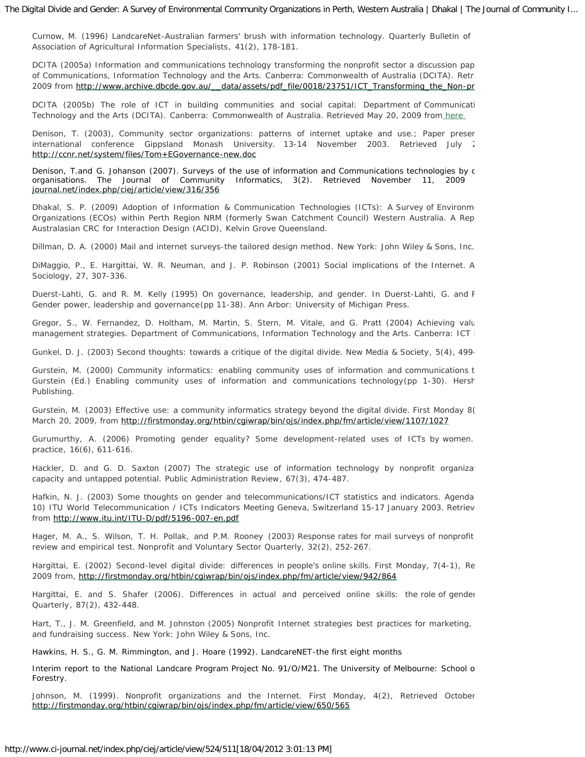Curnow, M. (1996) LandcareNet-Australian farmers' brush with information technology. *Quarterly Bulletin of Association of Agricultural Information Specialists*, 41(2), 178-181.

DCITA (2005a) Information and communications technology transforming the nonprofit sector a discussion pap of Communications, Information Technology and the Arts. Canberra: Commonwealth of Australia (DCITA). Retri 2009 from [http://www.archive.dbcde.gov.au/\\_\\_data/assets/pdf\\_file/0018/23751/ICT\\_Transforming\\_the\\_Non-pr](http://www.archive.dbcde.gov.au/__data/assets/pdf_file/0018/23751/ICT_Transforming_the_Non-profit_Sector.pdf)

DCITA (2005b) The role of ICT in building communities and social capital: Department of Communicati Technology and the Arts (DCITA). Canberra: Commonwealth of Australia. Retrieved May 20, 2009 fro[m here](http://www.archive.dbcde.gov.au/__data/assets/pdf_file/0004/23737/The_Role_of_ICT_in_Building_Communities_and_Social_Capital.pdf)

Denison, T. (2003), Community sector organizations: patterns of internet uptake and use.; *Paper presen international conference Gippsland Monash University.* 13-14 November 2003. Retrieved July 2 <http://ccnr.net/system/files/Tom+EGovernance-new.doc>

Denison, T.and G. Johanson (2007). Surveys of the use of information and Communications technologies by c organisations. *The Journal of Community Informatics,* 3(2). Retrieved November 11, 2009 [journal.net/index.php/ciej/article/view/316/356](http://ci-journal.net/index.php/ciej/article/view/316/356)

Dhakal, S. P. (2009) Adoption of Information & Communication Technologies (ICTs): A Survey of Environme Organizations (ECOs) within Perth Region NRM (formerly Swan Catchment Council) Western Australia. A Rep Australasian CRC for Interaction Design (ACID), Kelvin Grove Queensland.

Dillman, D. A. (2000) *Mail and internet surveys-the tailored design method*. New York: John Wiley & Sons, Inc.

DiMaggio, P., E. Hargittai, W. R. Neuman, and J. P. Robinson (2001) Social implications of the Internet. *An Sociology*, 27, 307-336.

Duerst-Lahti, G. and R. M. Kelly (1995) On governance, leadership, and gender. In Duerst-Lahti, G. and R *Gender power, leadership and governance*(pp 11-38). Ann Arbor: University of Michigan Press.

Gregor, S., W. Fernandez, D. Holtham, M. Martin, S. Stern, M. Vitale, and G. Pratt (2004) Achieving valu management strategies. Department of Communications, Information Technology and the Arts. Canberra: ICT I

Gunkel, D. J. (2003) Second thoughts: towards a critique of the digital divide. *New Media & Society*, 5(4), 499-

Gurstein, M. (2000) Community informatics: enabling community uses of information and communications t Gurstein (Ed.) E*nabling community uses of information and communications technology*(pp 1-30). Hersh Publishing.

Gurstein, M. (2003) Effective use: a community informatics strategy beyond the digital divide. *First Monday* 8( March 20, 2009, from <http://firstmonday.org/htbin/cgiwrap/bin/ojs/index.php/fm/article/view/1107/1027>

Gurumurthy, A. (2006) Promoting gender equality? Some development-related uses of ICTs by women. *practice*, 16(6), 611-616.

Hackler, D. and G. D. Saxton (2007) The strategic use of information technology by nonprofit organization capacity and untapped potential. *Public Administration Review*, 67(3), 474-487.

Hafkin, N. J. (2003) Some thoughts on gender and telecommunications/ICT statistics and indicators. Agenda 10) ITU World Telecommunication / ICTs Indicators Meeting Geneva, Switzerland 15-17 January 2003. Retriev from <http://www.itu.int/ITU-D/pdf/5196-007-en.pdf>

Hager, M. A., S. Wilson, T. H. Pollak, and P.M. Rooney (2003) Response rates for mail surveys of nonprofit review and empirical test. *Nonprofit and Voluntary Sector Quarterly,* 32(2), 252-267.

Hargittai, E. (2002) Second-level digital divide: differences in people's online skills. *First Monday,* 7(4-1), Re 2009 from,<http://firstmonday.org/htbin/cgiwrap/bin/ojs/index.php/fm/article/view/942/864>

Hargittai, E. and S. Shafer (2006). Differences in actual and perceived online skills: the role of gender *Quarterly*, 87(2), 432-448.

Hart, T., J. M. Greenfield, and M. Johnston (2005) *Nonprofit Internet strategies best practices for marketing, and fundraising success*. New York: John Wiley & Sons, Inc.

Hawkins, H. S., G. M. Rimmington, and J. Hoare (1992). *LandcareNET-the first eight months*

Interim report to the National Landcare Program Project No. 91/O/M21. The University of Melbourne: School o Forestry.

Johnson, M. (1999). Nonprofit organizations and the Internet. *First Monday,* 4(2), Retrieved October <http://firstmonday.org/htbin/cgiwrap/bin/ojs/index.php/fm/article/view/650/565>